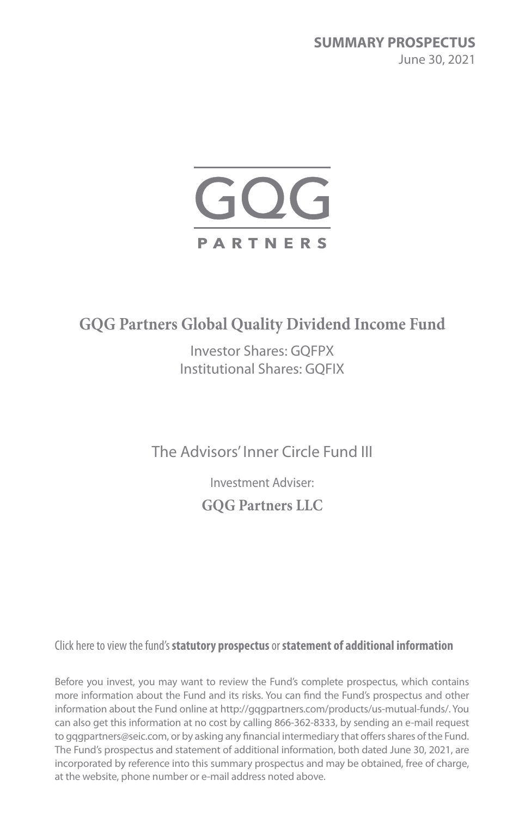**SUMMARY PROSPECTUS** June 30, 2021



# **GQG Partners Global Quality Dividend Income Fund**

Investor Shares: GQFPX Institutional Shares: GQFIX

The Advisors' Inner Circle Fund III

Investment Adviser: **GQG Partners LLC**

Click here to view the fund's **statutory prospectus** or **statement of additional information**

Before you invest, you may want to review the Fund's complete prospectus, which contains more information about the Fund and its risks. You can find the Fund's prospectus and other information about the Fund online at http://gqgpartners.com/products/us-mutual-funds/. You can also get this information at no cost by calling 866-362-8333, by sending an e-mail request to gqgpartners@seic.com, or by asking any financial intermediary that offers shares of the Fund. The Fund's prospectus and statement of additional information, both dated June 30, 2021, are incorporated by reference into this summary prospectus and may be obtained, free of charge, at the website, phone number or e-mail address noted above.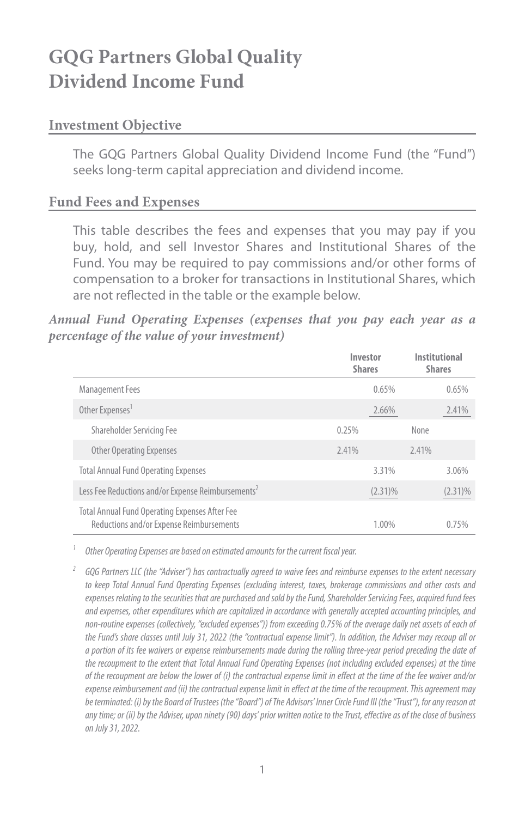# **GQG Partners Global Quality Dividend Income Fund**

#### **Investment Objective**

The GQG Partners Global Quality Dividend Income Fund (the "Fund") seeks long-term capital appreciation and dividend income.

#### **Fund Fees and Expenses**

This table describes the fees and expenses that you may pay if you buy, hold, and sell Investor Shares and Institutional Shares of the Fund. You may be required to pay commissions and/or other forms of compensation to a broker for transactions in Institutional Shares, which are not reflected in the table or the example below.

*Annual Fund Operating Expenses (expenses that you pay each year as a percentage of the value of your investment)*

|                                                                                            | Investor<br><b>Shares</b> | Institutional<br><b>Shares</b> |
|--------------------------------------------------------------------------------------------|---------------------------|--------------------------------|
| <b>Management Fees</b>                                                                     | 0.65%                     | 0.65%                          |
| Other Expenses <sup>1</sup>                                                                | 2.66%                     | 2.41%                          |
| Shareholder Servicing Fee                                                                  | 0.25%                     | None                           |
| <b>Other Operating Expenses</b>                                                            | 2.41%                     | 2.41%                          |
| <b>Total Annual Fund Operating Expenses</b>                                                | 3.31%                     | 3.06%                          |
| Less Fee Reductions and/or Expense Reimbursements <sup>2</sup>                             | $(2.31)\%$                | $(2.31)\%$                     |
| Total Annual Fund Operating Expenses After Fee<br>Reductions and/or Expense Reimbursements | 1.00%                     | 0.75%                          |

*<sup>1</sup> Other Operating Expenses are based on estimated amounts for the current fiscal year.*

*<sup>2</sup> GQG Partners LLC (the "Adviser") has contractually agreed to waive fees and reimburse expenses to the extent necessary to keep Total Annual Fund Operating Expenses (excluding interest, taxes, brokerage commissions and other costs and expenses relating to the securities that are purchased and sold by the Fund, Shareholder Servicing Fees, acquired fund fees and expenses, other expenditures which are capitalized in accordance with generally accepted accounting principles, and non-routine expenses (collectively, "excluded expenses")) from exceeding 0.75% of the average daily net assets of each of the Fund's share classes until July 31, 2022 (the "contractual expense limit"). In addition, the Adviser may recoup all or a portion of its fee waivers or expense reimbursements made during the rolling three-year period preceding the date of the recoupment to the extent that Total Annual Fund Operating Expenses (not including excluded expenses) at the time of the recoupment are below the lower of (i) the contractual expense limit in effect at the time of the fee waiver and/or expense reimbursement and (ii) the contractual expense limit in effect at the time of the recoupment. This agreement may be terminated: (i) by the Board of Trustees (the "Board") of The Advisors' Inner Circle Fund III (the "Trust"), for any reason at any time; or (ii) by the Adviser, upon ninety (90) days' prior written notice to the Trust, effective as of the close of business on July 31, 2022.*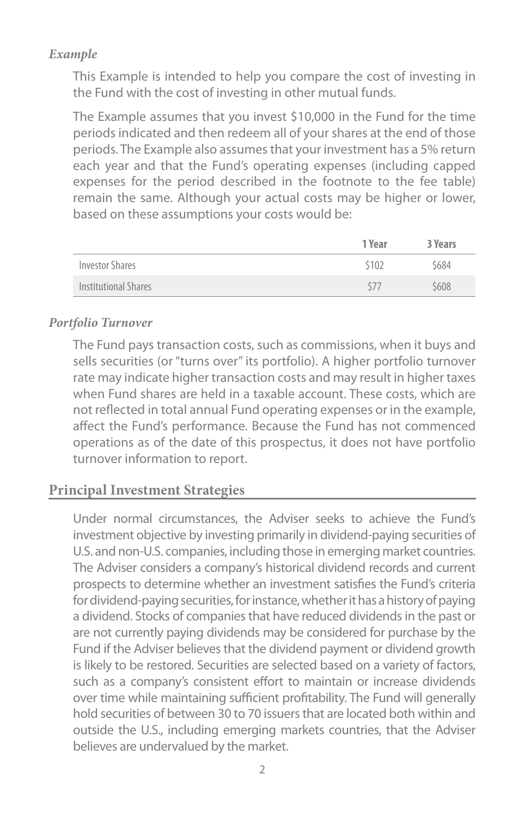#### *Example*

This Example is intended to help you compare the cost of investing in the Fund with the cost of investing in other mutual funds.

The Example assumes that you invest \$10,000 in the Fund for the time periods indicated and then redeem all of your shares at the end of those periods. The Example also assumes that your investment has a 5% return each year and that the Fund's operating expenses (including capped expenses for the period described in the footnote to the fee table) remain the same. Although your actual costs may be higher or lower, based on these assumptions your costs would be:

|                      | 1 Year | 3 Years |
|----------------------|--------|---------|
| Investor Shares      | \$102  | \$684   |
| Institutional Shares |        | \$608   |

#### *Portfolio Turnover*

The Fund pays transaction costs, such as commissions, when it buys and sells securities (or "turns over" its portfolio). A higher portfolio turnover rate may indicate higher transaction costs and may result in higher taxes when Fund shares are held in a taxable account. These costs, which are not reflected in total annual Fund operating expenses or in the example, affect the Fund's performance. Because the Fund has not commenced operations as of the date of this prospectus, it does not have portfolio turnover information to report.

# **Principal Investment Strategies**

Under normal circumstances, the Adviser seeks to achieve the Fund's investment objective by investing primarily in dividend-paying securities of U.S. and non-U.S. companies, including those in emerging market countries. The Adviser considers a company's historical dividend records and current prospects to determine whether an investment satisfies the Fund's criteria for dividend-paying securities, for instance, whether it has a history of paying a dividend. Stocks of companies that have reduced dividends in the past or are not currently paying dividends may be considered for purchase by the Fund if the Adviser believes that the dividend payment or dividend growth is likely to be restored. Securities are selected based on a variety of factors, such as a company's consistent effort to maintain or increase dividends over time while maintaining sufficient profitability. The Fund will generally hold securities of between 30 to 70 issuers that are located both within and outside the U.S., including emerging markets countries, that the Adviser believes are undervalued by the market.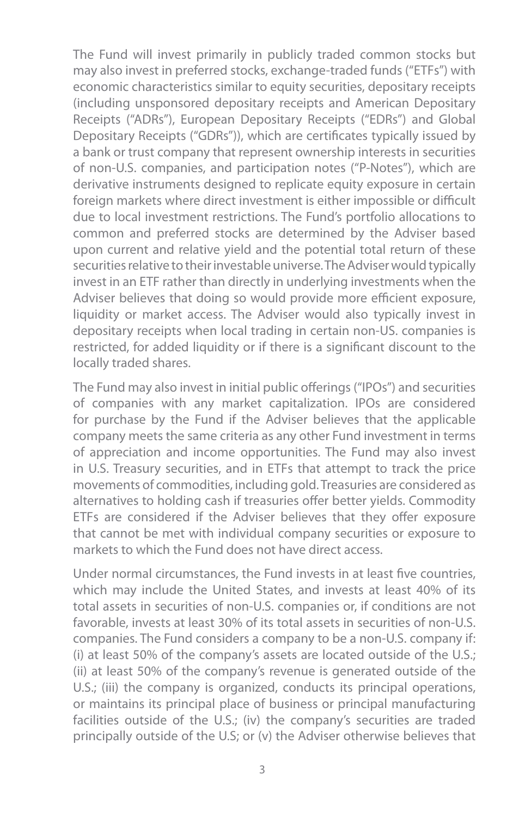The Fund will invest primarily in publicly traded common stocks but may also invest in preferred stocks, exchange-traded funds ("ETFs") with economic characteristics similar to equity securities, depositary receipts (including unsponsored depositary receipts and American Depositary Receipts ("ADRs"), European Depositary Receipts ("EDRs") and Global Depositary Receipts ("GDRs")), which are certificates typically issued by a bank or trust company that represent ownership interests in securities of non-U.S. companies, and participation notes ("P-Notes"), which are derivative instruments designed to replicate equity exposure in certain foreign markets where direct investment is either impossible or difficult due to local investment restrictions. The Fund's portfolio allocations to common and preferred stocks are determined by the Adviser based upon current and relative yield and the potential total return of these securities relative to their investable universe. The Adviser would typically invest in an ETF rather than directly in underlying investments when the Adviser believes that doing so would provide more efficient exposure, liquidity or market access. The Adviser would also typically invest in depositary receipts when local trading in certain non-US. companies is restricted, for added liquidity or if there is a significant discount to the locally traded shares.

The Fund may also invest in initial public offerings ("IPOs") and securities of companies with any market capitalization. IPOs are considered for purchase by the Fund if the Adviser believes that the applicable company meets the same criteria as any other Fund investment in terms of appreciation and income opportunities. The Fund may also invest in U.S. Treasury securities, and in ETFs that attempt to track the price movements of commodities, including gold. Treasuries are considered as alternatives to holding cash if treasuries offer better yields. Commodity ETFs are considered if the Adviser believes that they offer exposure that cannot be met with individual company securities or exposure to markets to which the Fund does not have direct access.

Under normal circumstances, the Fund invests in at least five countries, which may include the United States, and invests at least 40% of its total assets in securities of non-U.S. companies or, if conditions are not favorable, invests at least 30% of its total assets in securities of non-U.S. companies. The Fund considers a company to be a non-U.S. company if: (i) at least 50% of the company's assets are located outside of the U.S.; (ii) at least 50% of the company's revenue is generated outside of the U.S.; (iii) the company is organized, conducts its principal operations, or maintains its principal place of business or principal manufacturing facilities outside of the U.S.; (iv) the company's securities are traded principally outside of the U.S; or (v) the Adviser otherwise believes that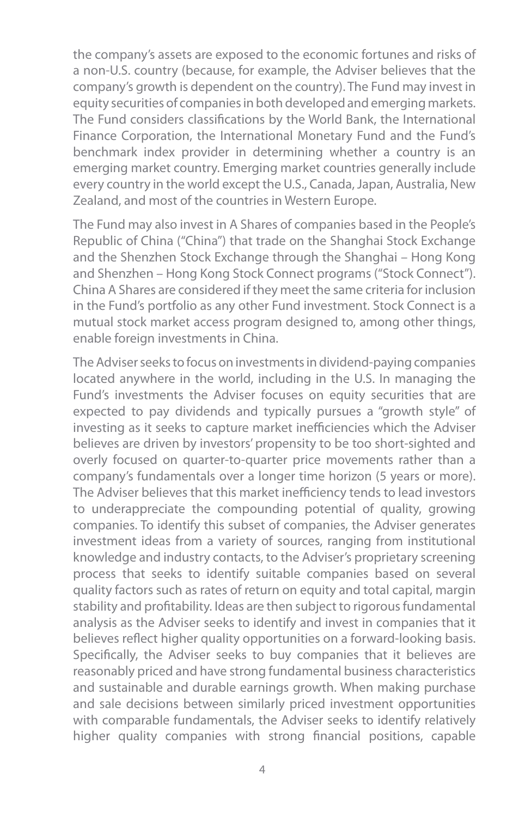the company's assets are exposed to the economic fortunes and risks of a non-U.S. country (because, for example, the Adviser believes that the company's growth is dependent on the country). The Fund may invest in equity securities of companies in both developed and emerging markets. The Fund considers classifications by the World Bank, the International Finance Corporation, the International Monetary Fund and the Fund's benchmark index provider in determining whether a country is an emerging market country. Emerging market countries generally include every country in the world except the U.S., Canada, Japan, Australia, New Zealand, and most of the countries in Western Europe.

The Fund may also invest in A Shares of companies based in the People's Republic of China ("China") that trade on the Shanghai Stock Exchange and the Shenzhen Stock Exchange through the Shanghai – Hong Kong and Shenzhen – Hong Kong Stock Connect programs ("Stock Connect"). China A Shares are considered if they meet the same criteria for inclusion in the Fund's portfolio as any other Fund investment. Stock Connect is a mutual stock market access program designed to, among other things, enable foreign investments in China.

The Adviser seeks to focus on investments in dividend-paying companies located anywhere in the world, including in the U.S. In managing the Fund's investments the Adviser focuses on equity securities that are expected to pay dividends and typically pursues a "growth style" of investing as it seeks to capture market inefficiencies which the Adviser believes are driven by investors' propensity to be too short-sighted and overly focused on quarter-to-quarter price movements rather than a company's fundamentals over a longer time horizon (5 years or more). The Adviser believes that this market inefficiency tends to lead investors to underappreciate the compounding potential of quality, growing companies. To identify this subset of companies, the Adviser generates investment ideas from a variety of sources, ranging from institutional knowledge and industry contacts, to the Adviser's proprietary screening process that seeks to identify suitable companies based on several quality factors such as rates of return on equity and total capital, margin stability and profitability. Ideas are then subject to rigorous fundamental analysis as the Adviser seeks to identify and invest in companies that it believes reflect higher quality opportunities on a forward-looking basis. Specifically, the Adviser seeks to buy companies that it believes are reasonably priced and have strong fundamental business characteristics and sustainable and durable earnings growth. When making purchase and sale decisions between similarly priced investment opportunities with comparable fundamentals, the Adviser seeks to identify relatively higher quality companies with strong financial positions, capable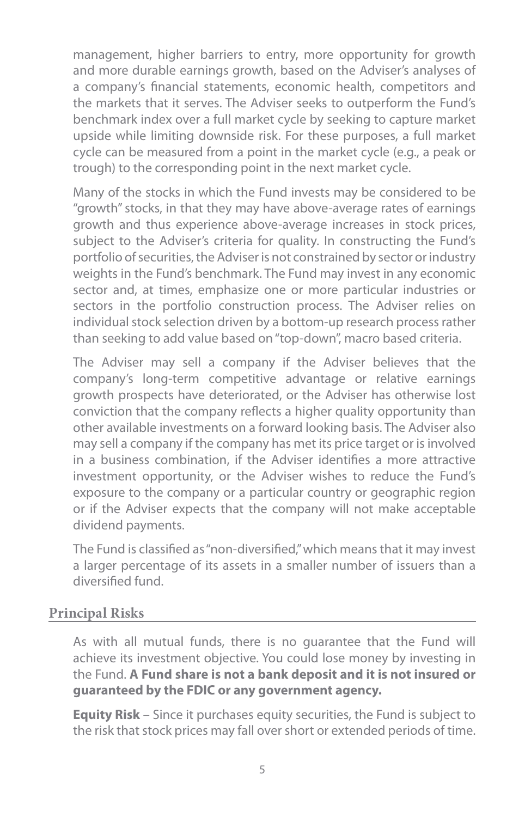management, higher barriers to entry, more opportunity for growth and more durable earnings growth, based on the Adviser's analyses of a company's financial statements, economic health, competitors and the markets that it serves. The Adviser seeks to outperform the Fund's benchmark index over a full market cycle by seeking to capture market upside while limiting downside risk. For these purposes, a full market cycle can be measured from a point in the market cycle (e.g., a peak or trough) to the corresponding point in the next market cycle.

Many of the stocks in which the Fund invests may be considered to be "growth" stocks, in that they may have above-average rates of earnings growth and thus experience above-average increases in stock prices, subject to the Adviser's criteria for quality. In constructing the Fund's portfolio of securities, the Adviser is not constrained by sector or industry weights in the Fund's benchmark. The Fund may invest in any economic sector and, at times, emphasize one or more particular industries or sectors in the portfolio construction process. The Adviser relies on individual stock selection driven by a bottom-up research process rather than seeking to add value based on "top-down", macro based criteria.

The Adviser may sell a company if the Adviser believes that the company's long-term competitive advantage or relative earnings growth prospects have deteriorated, or the Adviser has otherwise lost conviction that the company reflects a higher quality opportunity than other available investments on a forward looking basis. The Adviser also may sell a company if the company has met its price target or is involved in a business combination, if the Adviser identifies a more attractive investment opportunity, or the Adviser wishes to reduce the Fund's exposure to the company or a particular country or geographic region or if the Adviser expects that the company will not make acceptable dividend payments.

The Fund is classified as "non-diversified," which means that it may invest a larger percentage of its assets in a smaller number of issuers than a diversified fund.

#### **Principal Risks**

As with all mutual funds, there is no guarantee that the Fund will achieve its investment objective. You could lose money by investing in the Fund. **A Fund share is not a bank deposit and it is not insured or guaranteed by the FDIC or any government agency.**

**Equity Risk** – Since it purchases equity securities, the Fund is subject to the risk that stock prices may fall over short or extended periods of time.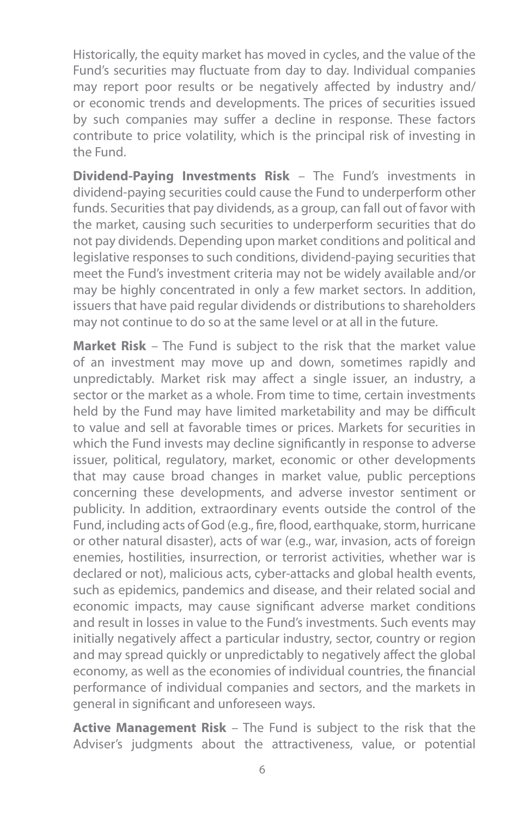Historically, the equity market has moved in cycles, and the value of the Fund's securities may fluctuate from day to day. Individual companies may report poor results or be negatively affected by industry and/ or economic trends and developments. The prices of securities issued by such companies may suffer a decline in response. These factors contribute to price volatility, which is the principal risk of investing in the Fund.

**Dividend-Paying Investments Risk** – The Fund's investments in dividend-paying securities could cause the Fund to underperform other funds. Securities that pay dividends, as a group, can fall out of favor with the market, causing such securities to underperform securities that do not pay dividends. Depending upon market conditions and political and legislative responses to such conditions, dividend-paying securities that meet the Fund's investment criteria may not be widely available and/or may be highly concentrated in only a few market sectors. In addition, issuers that have paid regular dividends or distributions to shareholders may not continue to do so at the same level or at all in the future.

**Market Risk** – The Fund is subject to the risk that the market value of an investment may move up and down, sometimes rapidly and unpredictably. Market risk may affect a single issuer, an industry, a sector or the market as a whole. From time to time, certain investments held by the Fund may have limited marketability and may be difficult to value and sell at favorable times or prices. Markets for securities in which the Fund invests may decline significantly in response to adverse issuer, political, regulatory, market, economic or other developments that may cause broad changes in market value, public perceptions concerning these developments, and adverse investor sentiment or publicity. In addition, extraordinary events outside the control of the Fund, including acts of God (e.g., fire, flood, earthquake, storm, hurricane or other natural disaster), acts of war (e.g., war, invasion, acts of foreign enemies, hostilities, insurrection, or terrorist activities, whether war is declared or not), malicious acts, cyber-attacks and global health events, such as epidemics, pandemics and disease, and their related social and economic impacts, may cause significant adverse market conditions and result in losses in value to the Fund's investments. Such events may initially negatively affect a particular industry, sector, country or region and may spread quickly or unpredictably to negatively affect the global economy, as well as the economies of individual countries, the financial performance of individual companies and sectors, and the markets in general in significant and unforeseen ways.

**Active Management Risk** – The Fund is subject to the risk that the Adviser's judgments about the attractiveness, value, or potential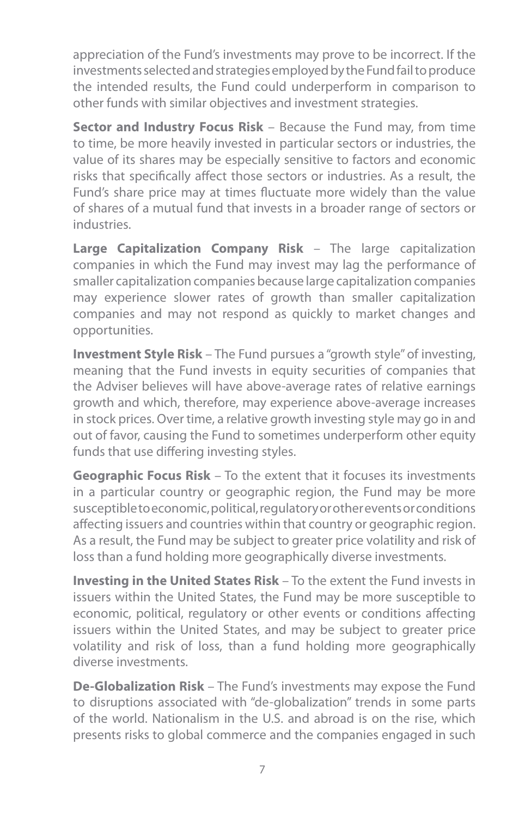appreciation of the Fund's investments may prove to be incorrect. If the investments selected and strategies employed by the Fund fail to produce the intended results, the Fund could underperform in comparison to other funds with similar objectives and investment strategies.

**Sector and Industry Focus Risk** – Because the Fund may, from time to time, be more heavily invested in particular sectors or industries, the value of its shares may be especially sensitive to factors and economic risks that specifically affect those sectors or industries. As a result, the Fund's share price may at times fluctuate more widely than the value of shares of a mutual fund that invests in a broader range of sectors or industries.

**Large Capitalization Company Risk** – The large capitalization companies in which the Fund may invest may lag the performance of smaller capitalization companies because large capitalization companies may experience slower rates of growth than smaller capitalization companies and may not respond as quickly to market changes and opportunities.

**Investment Style Risk** – The Fund pursues a "growth style" of investing, meaning that the Fund invests in equity securities of companies that the Adviser believes will have above-average rates of relative earnings growth and which, therefore, may experience above-average increases in stock prices. Over time, a relative growth investing style may go in and out of favor, causing the Fund to sometimes underperform other equity funds that use differing investing styles.

**Geographic Focus Risk** – To the extent that it focuses its investments in a particular country or geographic region, the Fund may be more susceptible to economic, political, regulatory or other events or conditions affecting issuers and countries within that country or geographic region. As a result, the Fund may be subject to greater price volatility and risk of loss than a fund holding more geographically diverse investments.

**Investing in the United States Risk** – To the extent the Fund invests in issuers within the United States, the Fund may be more susceptible to economic, political, regulatory or other events or conditions affecting issuers within the United States, and may be subject to greater price volatility and risk of loss, than a fund holding more geographically diverse investments.

**De-Globalization Risk** – The Fund's investments may expose the Fund to disruptions associated with "de-globalization" trends in some parts of the world. Nationalism in the U.S. and abroad is on the rise, which presents risks to global commerce and the companies engaged in such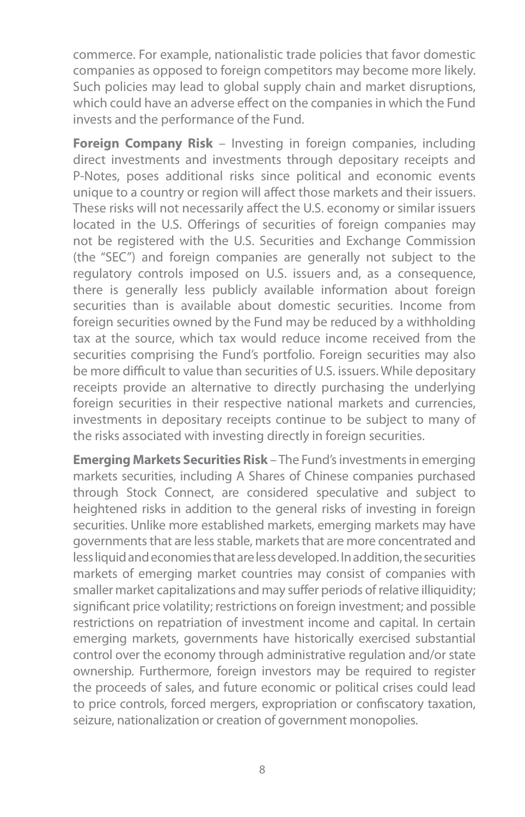commerce. For example, nationalistic trade policies that favor domestic companies as opposed to foreign competitors may become more likely. Such policies may lead to global supply chain and market disruptions, which could have an adverse effect on the companies in which the Fund invests and the performance of the Fund.

**Foreign Company Risk** – Investing in foreign companies, including direct investments and investments through depositary receipts and P-Notes, poses additional risks since political and economic events unique to a country or region will affect those markets and their issuers. These risks will not necessarily affect the U.S. economy or similar issuers located in the U.S. Offerings of securities of foreign companies may not be registered with the U.S. Securities and Exchange Commission (the "SEC") and foreign companies are generally not subject to the regulatory controls imposed on U.S. issuers and, as a consequence, there is generally less publicly available information about foreign securities than is available about domestic securities. Income from foreign securities owned by the Fund may be reduced by a withholding tax at the source, which tax would reduce income received from the securities comprising the Fund's portfolio. Foreign securities may also be more difficult to value than securities of U.S. issuers. While depositary receipts provide an alternative to directly purchasing the underlying foreign securities in their respective national markets and currencies, investments in depositary receipts continue to be subject to many of the risks associated with investing directly in foreign securities.

**Emerging Markets Securities Risk** – The Fund's investments in emerging markets securities, including A Shares of Chinese companies purchased through Stock Connect, are considered speculative and subject to heightened risks in addition to the general risks of investing in foreign securities. Unlike more established markets, emerging markets may have governments that are less stable, markets that are more concentrated and less liquid and economies that are less developed. In addition, the securities markets of emerging market countries may consist of companies with smaller market capitalizations and may suffer periods of relative illiquidity; significant price volatility; restrictions on foreign investment; and possible restrictions on repatriation of investment income and capital. In certain emerging markets, governments have historically exercised substantial control over the economy through administrative regulation and/or state ownership. Furthermore, foreign investors may be required to register the proceeds of sales, and future economic or political crises could lead to price controls, forced mergers, expropriation or confiscatory taxation, seizure, nationalization or creation of government monopolies.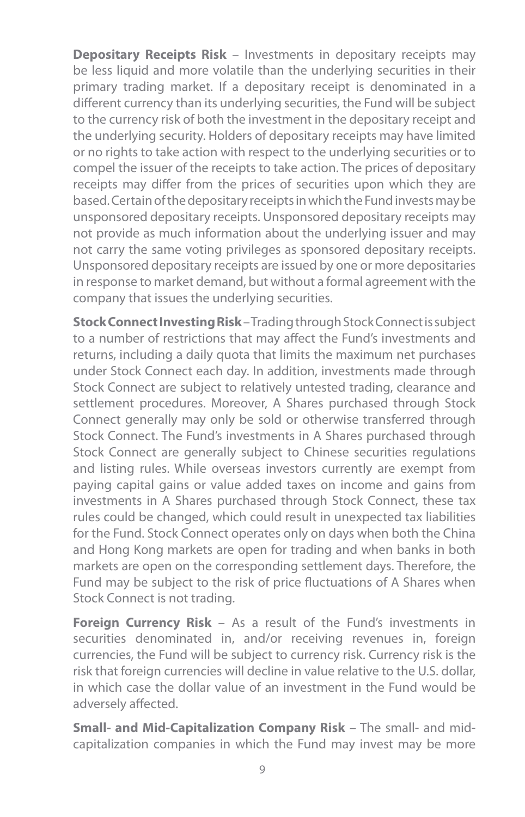**Depositary Receipts Risk** – Investments in depositary receipts may be less liquid and more volatile than the underlying securities in their primary trading market. If a depositary receipt is denominated in a different currency than its underlying securities, the Fund will be subject to the currency risk of both the investment in the depositary receipt and the underlying security. Holders of depositary receipts may have limited or no rights to take action with respect to the underlying securities or to compel the issuer of the receipts to take action. The prices of depositary receipts may differ from the prices of securities upon which they are based. Certain of the depositary receipts in which the Fund invests may be unsponsored depositary receipts. Unsponsored depositary receipts may not provide as much information about the underlying issuer and may not carry the same voting privileges as sponsored depositary receipts. Unsponsored depositary receipts are issued by one or more depositaries in response to market demand, but without a formal agreement with the company that issues the underlying securities.

**Stock Connect Investing Risk** – Trading through Stock Connect is subject to a number of restrictions that may affect the Fund's investments and returns, including a daily quota that limits the maximum net purchases under Stock Connect each day. In addition, investments made through Stock Connect are subject to relatively untested trading, clearance and settlement procedures. Moreover, A Shares purchased through Stock Connect generally may only be sold or otherwise transferred through Stock Connect. The Fund's investments in A Shares purchased through Stock Connect are generally subject to Chinese securities regulations and listing rules. While overseas investors currently are exempt from paying capital gains or value added taxes on income and gains from investments in A Shares purchased through Stock Connect, these tax rules could be changed, which could result in unexpected tax liabilities for the Fund. Stock Connect operates only on days when both the China and Hong Kong markets are open for trading and when banks in both markets are open on the corresponding settlement days. Therefore, the Fund may be subject to the risk of price fluctuations of A Shares when Stock Connect is not trading.

**Foreign Currency Risk** – As a result of the Fund's investments in securities denominated in, and/or receiving revenues in, foreign currencies, the Fund will be subject to currency risk. Currency risk is the risk that foreign currencies will decline in value relative to the U.S. dollar, in which case the dollar value of an investment in the Fund would be adversely affected.

**Small- and Mid-Capitalization Company Risk** – The small- and midcapitalization companies in which the Fund may invest may be more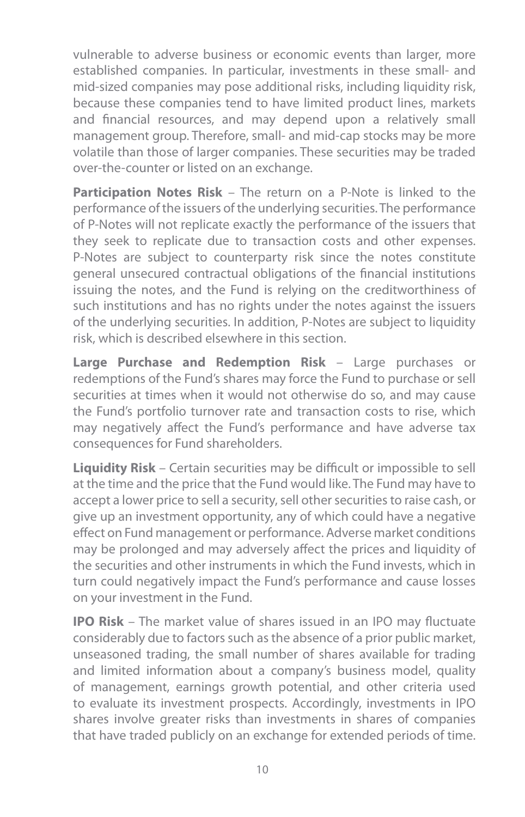vulnerable to adverse business or economic events than larger, more established companies. In particular, investments in these small- and mid-sized companies may pose additional risks, including liquidity risk, because these companies tend to have limited product lines, markets and financial resources, and may depend upon a relatively small management group. Therefore, small- and mid-cap stocks may be more volatile than those of larger companies. These securities may be traded over-the-counter or listed on an exchange.

**Participation Notes Risk** – The return on a P-Note is linked to the performance of the issuers of the underlying securities. The performance of P-Notes will not replicate exactly the performance of the issuers that they seek to replicate due to transaction costs and other expenses. P-Notes are subject to counterparty risk since the notes constitute general unsecured contractual obligations of the financial institutions issuing the notes, and the Fund is relying on the creditworthiness of such institutions and has no rights under the notes against the issuers of the underlying securities. In addition, P-Notes are subject to liquidity risk, which is described elsewhere in this section.

**Large Purchase and Redemption Risk** – Large purchases or redemptions of the Fund's shares may force the Fund to purchase or sell securities at times when it would not otherwise do so, and may cause the Fund's portfolio turnover rate and transaction costs to rise, which may negatively affect the Fund's performance and have adverse tax consequences for Fund shareholders.

**Liquidity Risk** – Certain securities may be difficult or impossible to sell at the time and the price that the Fund would like. The Fund may have to accept a lower price to sell a security, sell other securities to raise cash, or give up an investment opportunity, any of which could have a negative effect on Fund management or performance. Adverse market conditions may be prolonged and may adversely affect the prices and liquidity of the securities and other instruments in which the Fund invests, which in turn could negatively impact the Fund's performance and cause losses on your investment in the Fund.

**IPO Risk** – The market value of shares issued in an IPO may fluctuate considerably due to factors such as the absence of a prior public market, unseasoned trading, the small number of shares available for trading and limited information about a company's business model, quality of management, earnings growth potential, and other criteria used to evaluate its investment prospects. Accordingly, investments in IPO shares involve greater risks than investments in shares of companies that have traded publicly on an exchange for extended periods of time.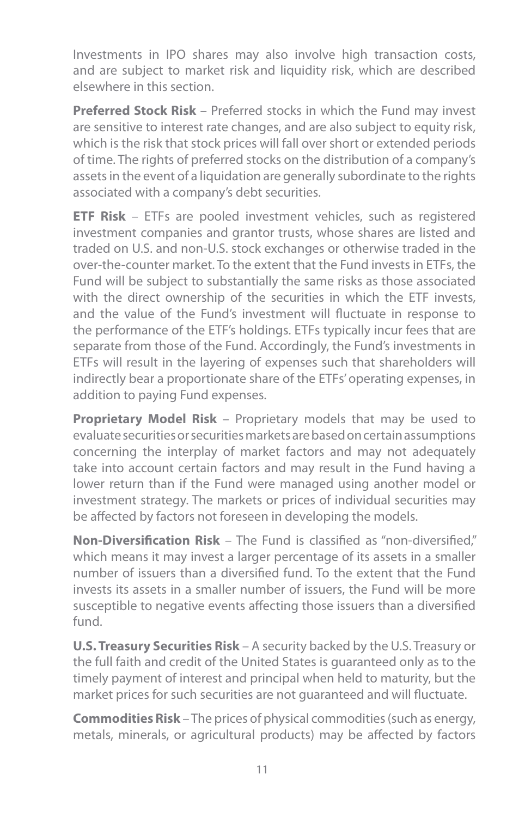Investments in IPO shares may also involve high transaction costs, and are subject to market risk and liquidity risk, which are described elsewhere in this section.

**Preferred Stock Risk** – Preferred stocks in which the Fund may invest are sensitive to interest rate changes, and are also subject to equity risk, which is the risk that stock prices will fall over short or extended periods of time. The rights of preferred stocks on the distribution of a company's assets in the event of a liquidation are generally subordinate to the rights associated with a company's debt securities.

**ETF Risk** – ETFs are pooled investment vehicles, such as registered investment companies and grantor trusts, whose shares are listed and traded on U.S. and non-U.S. stock exchanges or otherwise traded in the over-the-counter market. To the extent that the Fund invests in ETFs, the Fund will be subject to substantially the same risks as those associated with the direct ownership of the securities in which the ETF invests, and the value of the Fund's investment will fluctuate in response to the performance of the ETF's holdings. ETFs typically incur fees that are separate from those of the Fund. Accordingly, the Fund's investments in ETFs will result in the layering of expenses such that shareholders will indirectly bear a proportionate share of the ETFs' operating expenses, in addition to paying Fund expenses.

**Proprietary Model Risk** – Proprietary models that may be used to evaluate securities or securities markets are based on certain assumptions concerning the interplay of market factors and may not adequately take into account certain factors and may result in the Fund having a lower return than if the Fund were managed using another model or investment strategy. The markets or prices of individual securities may be affected by factors not foreseen in developing the models.

**Non-Diversification Risk** – The Fund is classified as "non-diversified," which means it may invest a larger percentage of its assets in a smaller number of issuers than a diversified fund. To the extent that the Fund invests its assets in a smaller number of issuers, the Fund will be more susceptible to negative events affecting those issuers than a diversified fund.

**U.S. Treasury Securities Risk** – A security backed by the U.S. Treasury or the full faith and credit of the United States is guaranteed only as to the timely payment of interest and principal when held to maturity, but the market prices for such securities are not guaranteed and will fluctuate.

**Commodities Risk** – The prices of physical commodities (such as energy, metals, minerals, or agricultural products) may be affected by factors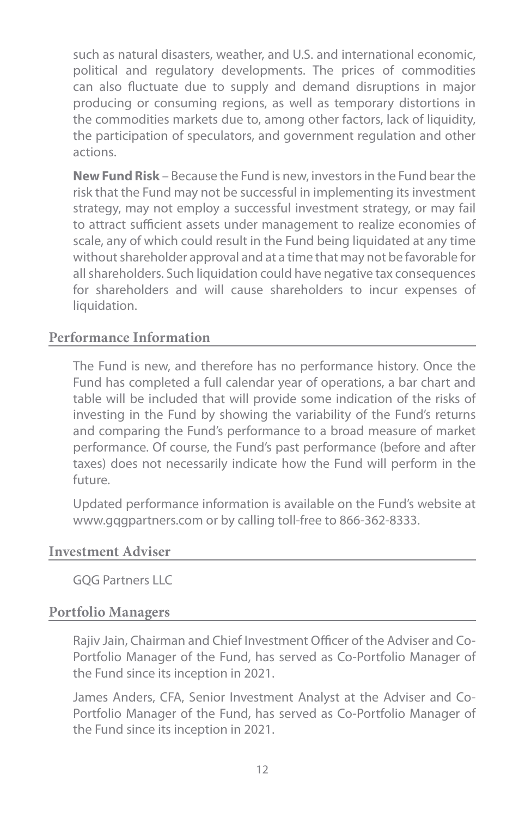such as natural disasters, weather, and U.S. and international economic, political and regulatory developments. The prices of commodities can also fluctuate due to supply and demand disruptions in major producing or consuming regions, as well as temporary distortions in the commodities markets due to, among other factors, lack of liquidity, the participation of speculators, and government regulation and other actions.

**New Fund Risk** – Because the Fund is new, investors in the Fund bear the risk that the Fund may not be successful in implementing its investment strategy, may not employ a successful investment strategy, or may fail to attract sufficient assets under management to realize economies of scale, any of which could result in the Fund being liquidated at any time without shareholder approval and at a time that may not be favorable for all shareholders. Such liquidation could have negative tax consequences for shareholders and will cause shareholders to incur expenses of liquidation.

## **Performance Information**

The Fund is new, and therefore has no performance history. Once the Fund has completed a full calendar year of operations, a bar chart and table will be included that will provide some indication of the risks of investing in the Fund by showing the variability of the Fund's returns and comparing the Fund's performance to a broad measure of market performance. Of course, the Fund's past performance (before and after taxes) does not necessarily indicate how the Fund will perform in the future.

Updated performance information is available on the Fund's website at www.gqgpartners.com or by calling toll-free to 866-362-8333.

#### **Investment Adviser**

GOG Partners LLC

#### **Portfolio Managers**

Rajiv Jain, Chairman and Chief Investment Officer of the Adviser and Co-Portfolio Manager of the Fund, has served as Co-Portfolio Manager of the Fund since its inception in 2021.

James Anders, CFA, Senior Investment Analyst at the Adviser and Co-Portfolio Manager of the Fund, has served as Co-Portfolio Manager of the Fund since its inception in 2021.